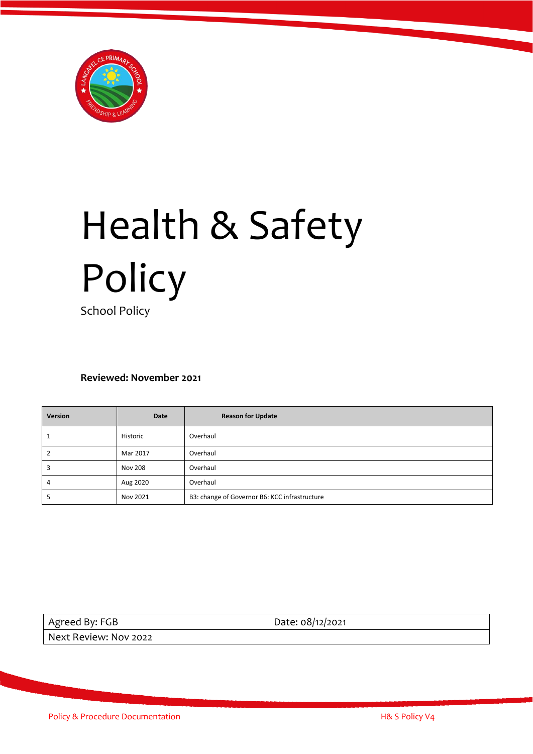

# Health & Safety Policy

School Policy

**Reviewed: November 2021**

| Version | Date           | <b>Reason for Update</b>                      |
|---------|----------------|-----------------------------------------------|
|         | Historic       | Overhaul                                      |
|         | Mar 2017       | Overhaul                                      |
|         | <b>Nov 208</b> | Overhaul                                      |
| 4       | Aug 2020       | Overhaul                                      |
|         | Nov 2021       | B3: change of Governor B6: KCC infrastructure |

Agreed By: FGB Date: 08/12/2021

Next Review: Nov 2022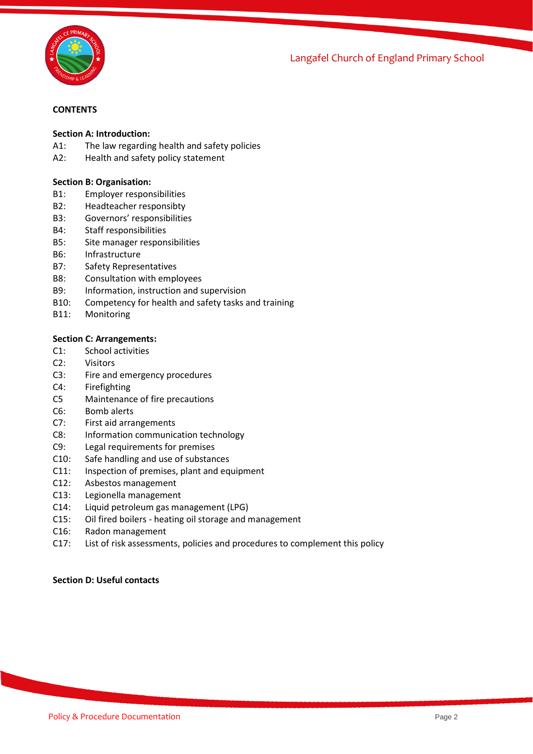j Langafel Church of England Primary School



## **CONTENTS**

#### **Section A: Introduction:**

- A1: The law regarding health and safety policies
- A2: Health and safety policy statement

#### **Section B: Organisation:**

- B1: Employer responsibilities
- B2: Headteacher responsibty
- B3: Governors' responsibilities
- B4: Staff responsibilities
- B5: Site manager responsibilities
- B6: Infrastructure
- B7: Safety Representatives
- B8: Consultation with employees<br>B9: Information. instruction and s
- Information, instruction and supervision
- B10: Competency for health and safety tasks and training
- B11: Monitoring

#### **Section C: Arrangements:**

- C1: School activities
- C2: Visitors
- C3: Fire and emergency procedures
- C4: Firefighting
- C5 Maintenance of fire precautions
- C6: Bomb alerts
- C7: First aid arrangements
- C8: Information communication technology
- C9: Legal requirements for premises
- C10: Safe handling and use of substances
- C11: Inspection of premises, plant and equipment
- C12: Asbestos management
- C13: Legionella management
- C14: Liquid petroleum gas management (LPG)
- C15: Oil fired boilers heating oil storage and management
- C16: Radon management
- C17: List of risk assessments, policies and procedures to complement this policy

#### **Section D: Useful contacts**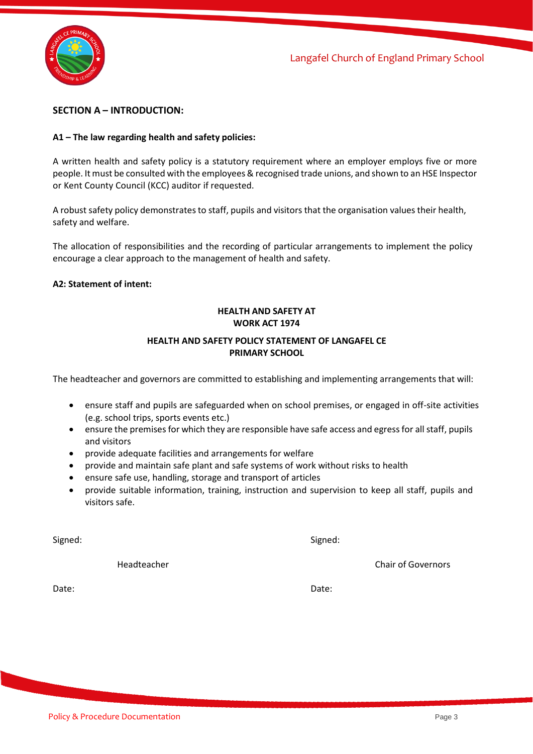



## **SECTION A – INTRODUCTION:**

#### **A1 – The law regarding health and safety policies:**

A written health and safety policy is a statutory requirement where an employer employs five or more people. It must be consulted with the employees & recognised trade unions, and shown to an HSE Inspector or Kent County Council (KCC) auditor if requested.

A robust safety policy demonstrates to staff, pupils and visitors that the organisation values their health, safety and welfare.

The allocation of responsibilities and the recording of particular arrangements to implement the policy encourage a clear approach to the management of health and safety.

#### **A2: Statement of intent:**

# **HEALTH AND SAFETY AT WORK ACT 1974**

## **HEALTH AND SAFETY POLICY STATEMENT OF LANGAFEL CE PRIMARY SCHOOL**

The headteacher and governors are committed to establishing and implementing arrangements that will:

- ensure staff and pupils are safeguarded when on school premises, or engaged in off-site activities (e.g. school trips, sports events etc.)
- ensure the premises for which they are responsible have safe access and egressfor all staff, pupils and visitors
- provide adequate facilities and arrangements for welfare
- provide and maintain safe plant and safe systems of work without risks to health
- ensure safe use, handling, storage and transport of articles
- provide suitable information, training, instruction and supervision to keep all staff, pupils and visitors safe.

Signed: Signed:

Date: Date:

Headteacher Chair of Governors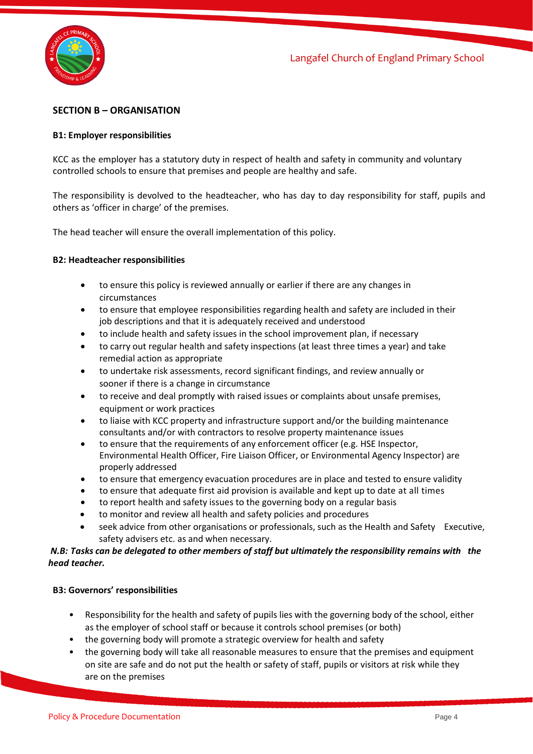

# **SECTION B – ORGANISATION**

## **B1: Employer responsibilities**

KCC as the employer has a statutory duty in respect of health and safety in community and voluntary controlled schools to ensure that premises and people are healthy and safe.

The responsibility is devolved to the headteacher, who has day to day responsibility for staff, pupils and others as 'officer in charge' of the premises.

The head teacher will ensure the overall implementation of this policy.

#### **B2: Headteacher responsibilities**

- to ensure this policy is reviewed annually or earlier if there are any changes in circumstances
- to ensure that employee responsibilities regarding health and safety are included in their job descriptions and that it is adequately received and understood
- to include health and safety issues in the school improvement plan, if necessary
- to carry out regular health and safety inspections (at least three times a year) and take remedial action as appropriate
- to undertake risk assessments, record significant findings, and review annually or sooner if there is a change in circumstance
- to receive and deal promptly with raised issues or complaints about unsafe premises, equipment or work practices
- to liaise with KCC property and infrastructure support and/or the building maintenance consultants and/or with contractors to resolve property maintenance issues
- to ensure that the requirements of any enforcement officer (e.g. HSE Inspector, Environmental Health Officer, Fire Liaison Officer, or Environmental Agency Inspector) are properly addressed
- to ensure that emergency evacuation procedures are in place and tested to ensure validity
- to ensure that adequate first aid provision is available and kept up to date at all times
- to report health and safety issues to the governing body on a regular basis
- to monitor and review all health and safety policies and procedures
- seek advice from other organisations or professionals, such as the Health and Safety Executive, safety advisers etc. as and when necessary.

## *N.B: Tasks can be delegated to other members of staff but ultimately the responsibility remains with the head teacher.*

#### **B3: Governors' responsibilities**

- Responsibility for the health and safety of pupils lies with the governing body of the school, either as the employer of school staff or because it controls school premises (or both)
- the governing body will promote a strategic overview for health and safety
- the governing body will take all reasonable measures to ensure that the premises and equipment on site are safe and do not put the health or safety of staff, pupils or visitors at risk while they are on the premises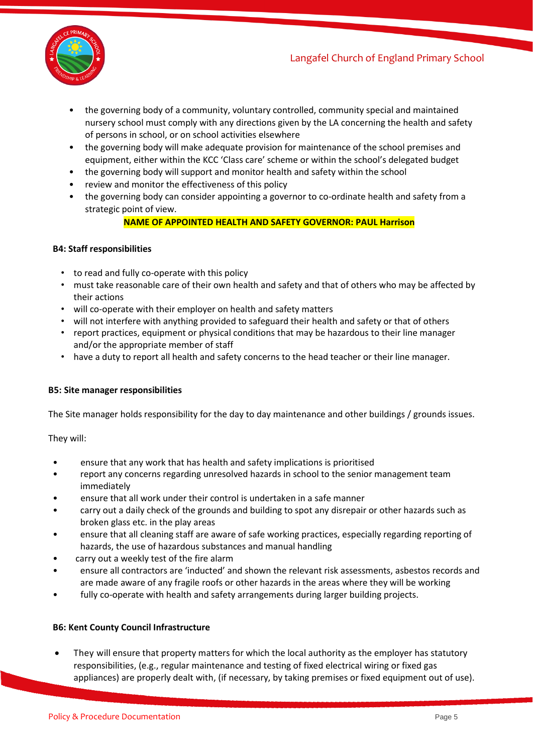

- the governing body of a community, voluntary controlled, community special and maintained nursery school must comply with any directions given by the LA concerning the health and safety of persons in school, or on school activities elsewhere
- the governing body will make adequate provision for maintenance of the school premises and equipment, either within the KCC 'Class care' scheme or within the school's delegated budget
- the governing body will support and monitor health and safety within the school
- review and monitor the effectiveness of this policy
- the governing body can consider appointing a governor to co-ordinate health and safety from a strategic point of view.

# **NAME OF APPOINTED HEALTH AND SAFETY GOVERNOR: PAUL Harrison**

## **B4: Staff responsibilities**

- to read and fully co-operate with this policy
- must take reasonable care of their own health and safety and that of others who may be affected by their actions
- will co-operate with their employer on health and safety matters
- will not interfere with anything provided to safeguard their health and safety or that of others
- report practices, equipment or physical conditions that may be hazardous to their line manager and/or the appropriate member of staff
- have a duty to report all health and safety concerns to the head teacher or their line manager.

# **B5: Site manager responsibilities**

The Site manager holds responsibility for the day to day maintenance and other buildings / grounds issues.

They will:

- ensure that any work that has health and safety implications is prioritised
- report any concerns regarding unresolved hazards in school to the senior management team immediately
- ensure that all work under their control is undertaken in a safe manner
- carry out a daily check of the grounds and building to spot any disrepair or other hazards such as broken glass etc. in the play areas
- ensure that all cleaning staff are aware of safe working practices, especially regarding reporting of hazards, the use of hazardous substances and manual handling
- carry out a weekly test of the fire alarm
- ensure all contractors are 'inducted' and shown the relevant risk assessments, asbestos records and are made aware of any fragile roofs or other hazards in the areas where they will be working
- fully co-operate with health and safety arrangements during larger building projects.

#### **B6: Kent County Council Infrastructure**

They will ensure that property matters for which the local authority as the employer has statutory responsibilities, (e.g., regular maintenance and testing of fixed electrical wiring or fixed gas appliances) are properly dealt with, (if necessary, by taking premises or fixed equipment out of use).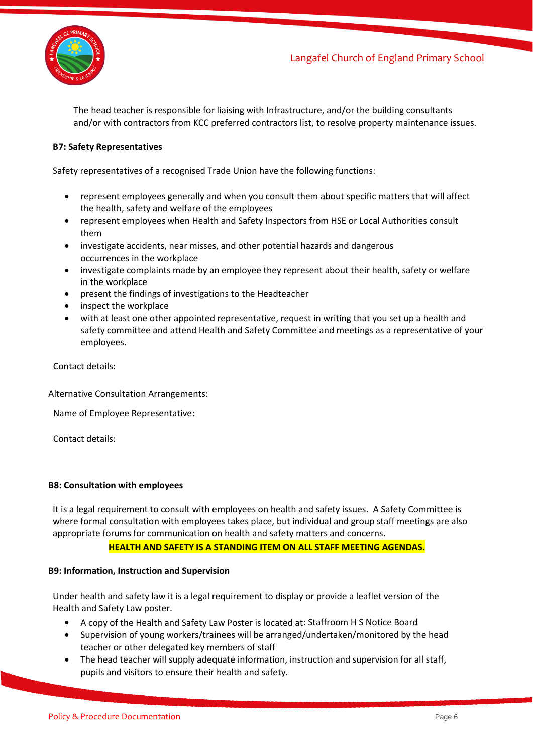



The head teacher is responsible for liaising with Infrastructure, and/or the building consultants and/or with contractors from KCC preferred contractors list, to resolve property maintenance issues.

## **B7: Safety Representatives**

Safety representatives of a recognised Trade Union have the following functions:

- represent employees generally and when you consult them about specific matters that will affect the health, safety and welfare of the employees
- represent employees when Health and Safety Inspectors from HSE or Local Authorities consult them
- investigate accidents, near misses, and other potential hazards and dangerous occurrences in the workplace
- investigate complaints made by an employee they represent about their health, safety or welfare in the workplace
- present the findings of investigations to the Headteacher
- inspect the workplace
- with at least one other appointed representative, request in writing that you set up a health and safety committee and attend Health and Safety Committee and meetings as a representative of your employees.

Contact details:

Alternative Consultation Arrangements:

Name of Employee Representative:

Contact details:

#### **B8: Consultation with employees**

It is a legal requirement to consult with employees on health and safety issues. A Safety Committee is where formal consultation with employees takes place, but individual and group staff meetings are also appropriate forums for communication on health and safety matters and concerns.

#### **HEALTH AND SAFETY IS A STANDING ITEM ON ALL STAFF MEETING AGENDAS.**

#### **B9: Information, Instruction and Supervision**

Under health and safety law it is a legal requirement to display or provide a leaflet version of the Health and Safety Law poster.

- A copy of the Health and Safety Law Poster is located at: Staffroom H S Notice Board
- Supervision of young workers/trainees will be arranged/undertaken/monitored by the head teacher or other delegated key members of staff
- The head teacher will supply adequate information, instruction and supervision for all staff, pupils and visitors to ensure their health and safety.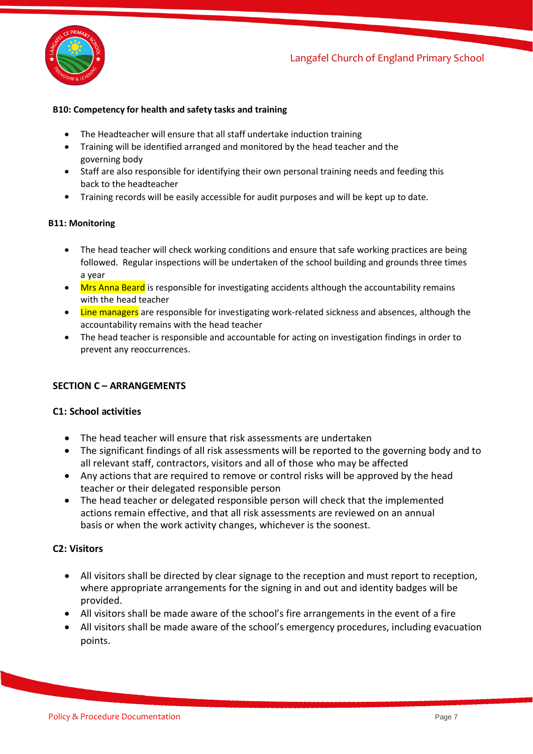

## **B10: Competency for health and safety tasks and training**

- The Headteacher will ensure that all staff undertake induction training
- Training will be identified arranged and monitored by the head teacher and the governing body
- Staff are also responsible for identifying their own personal training needs and feeding this back to the headteacher
- Training records will be easily accessible for audit purposes and will be kept up to date.

#### **B11: Monitoring**

- The head teacher will check working conditions and ensure that safe working practices are being followed. Regular inspections will be undertaken of the school building and grounds three times a year
- Mrs Anna Beard is responsible for investigating accidents although the accountability remains with the head teacher
- Line managers are responsible for investigating work-related sickness and absences, although the accountability remains with the head teacher
- The head teacher is responsible and accountable for acting on investigation findings in order to prevent any reoccurrences.

# **SECTION C – ARRANGEMENTS**

# **C1: School activities**

- The head teacher will ensure that risk assessments are undertaken
- The significant findings of all risk assessments will be reported to the governing body and to all relevant staff, contractors, visitors and all of those who may be affected
- Any actions that are required to remove or control risks will be approved by the head teacher or their delegated responsible person
- The head teacher or delegated responsible person will check that the implemented actions remain effective, and that all risk assessments are reviewed on an annual basis or when the work activity changes, whichever is the soonest.

# **C2: Visitors**

- All visitors shall be directed by clear signage to the reception and must report to reception, where appropriate arrangements for the signing in and out and identity badges will be provided.
- All visitors shall be made aware of the school's fire arrangements in the event of a fire
- All visitors shall be made aware of the school's emergency procedures, including evacuation points.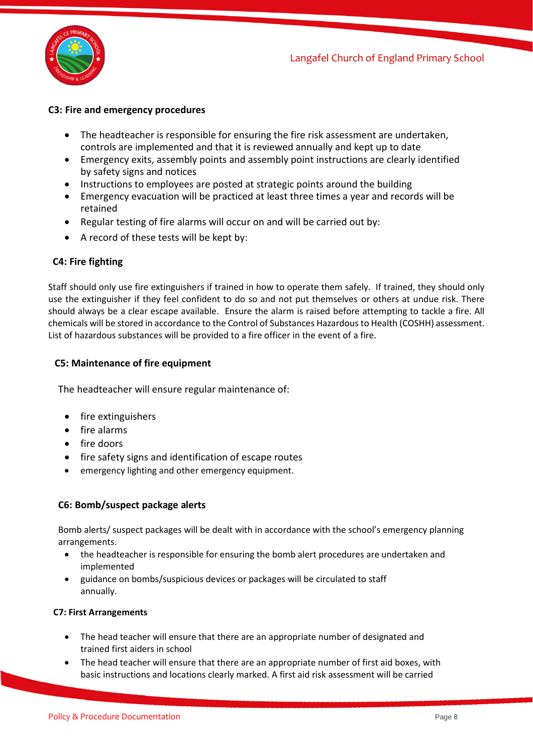

# **C3: Fire and emergency procedures**

- The headteacher is responsible for ensuring the fire risk assessment are undertaken, controls are implemented and that it is reviewed annually and kept up to date
- Emergency exits, assembly points and assembly point instructions are clearly identified by safety signs and notices
- Instructions to employees are posted at strategic points around the building
- Emergency evacuation will be practiced at least three times a year and records will be retained
- Regular testing of fire alarms will occur on and will be carried out by:
- A record of these tests will be kept by:

# **C4: Fire fighting**

Staff should only use fire extinguishers if trained in how to operate them safely. If trained, they should only use the extinguisher if they feel confident to do so and not put themselves or others at undue risk. There should always be a clear escape available. Ensure the alarm is raised before attempting to tackle a fire. All chemicals will be stored in accordance to the Control of Substances Hazardous to Health (COSHH) assessment. List of hazardous substances will be provided to a fire officer in the event of a fire.

# **C5: Maintenance of fire equipment**

The headteacher will ensure regular maintenance of:

- fire extinguishers
- fire alarms
- fire doors
- fire safety signs and identification of escape routes
- emergency lighting and other emergency equipment.

# **C6: Bomb/suspect package alerts**

Bomb alerts/ suspect packages will be dealt with in accordance with the school's emergency planning arrangements.

- the headteacher is responsible for ensuring the bomb alert procedures are undertaken and implemented
- guidance on bombs/suspicious devices or packages will be circulated to staff annually.

#### **C7: First Arrangements**

- The head teacher will ensure that there are an appropriate number of designated and trained first aiders in school
- The head teacher will ensure that there are an appropriate number of first aid boxes, with basic instructions and locations clearly marked. A first aid risk assessment will be carried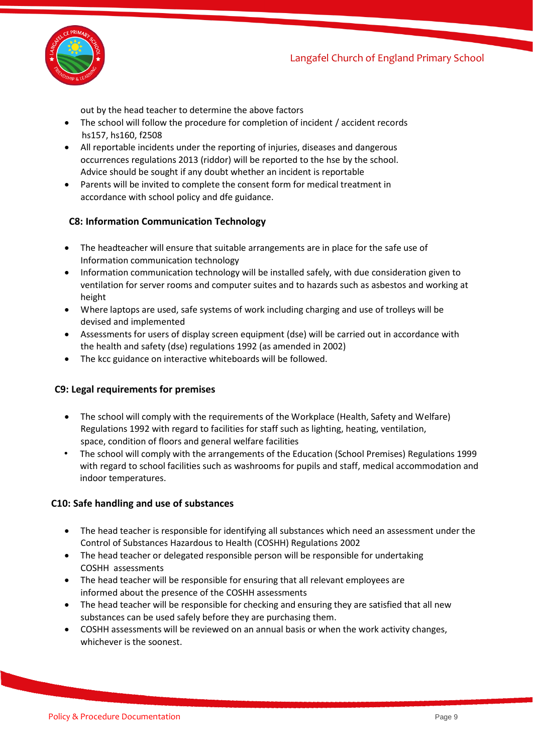

out by the head teacher to determine the above factors

- The school will follow the procedure for completion of incident / accident records hs157, hs160, f2508
- All reportable incidents under the reporting of injuries, diseases and dangerous occurrences regulations 2013 (riddor) will be reported to the hse by the school. Advice should be sought if any doubt whether an incident is reportable
- Parents will be invited to complete the consent form for medical treatment in accordance with school policy and dfe guidance.

# **C8: Information Communication Technology**

- The headteacher will ensure that suitable arrangements are in place for the safe use of Information communication technology
- Information communication technology will be installed safely, with due consideration given to ventilation for server rooms and computer suites and to hazards such as asbestos and working at height
- Where laptops are used, safe systems of work including charging and use of trolleys will be devised and implemented
- Assessments for users of display screen equipment (dse) will be carried out in accordance with the health and safety (dse) regulations 1992 (as amended in 2002)
- The kcc guidance on interactive whiteboards will be followed.

# **C9: Legal requirements for premises**

- The school will comply with the requirements of the Workplace (Health, Safety and Welfare) Regulations 1992 with regard to facilities for staff such as lighting, heating, ventilation, space, condition of floors and general welfare facilities
- The school will comply with the arrangements of the Education (School Premises) Regulations 1999 with regard to school facilities such as washrooms for pupils and staff, medical accommodation and indoor temperatures.

# **C10: Safe handling and use of substances**

- The head teacher is responsible for identifying all substances which need an assessment under the Control of Substances Hazardous to Health (COSHH) Regulations 2002
- The head teacher or delegated responsible person will be responsible for undertaking COSHH assessments
- The head teacher will be responsible for ensuring that all relevant employees are informed about the presence of the COSHH assessments
- The head teacher will be responsible for checking and ensuring they are satisfied that all new substances can be used safely before they are purchasing them.
- COSHH assessments will be reviewed on an annual basis or when the work activity changes, whichever is the soonest.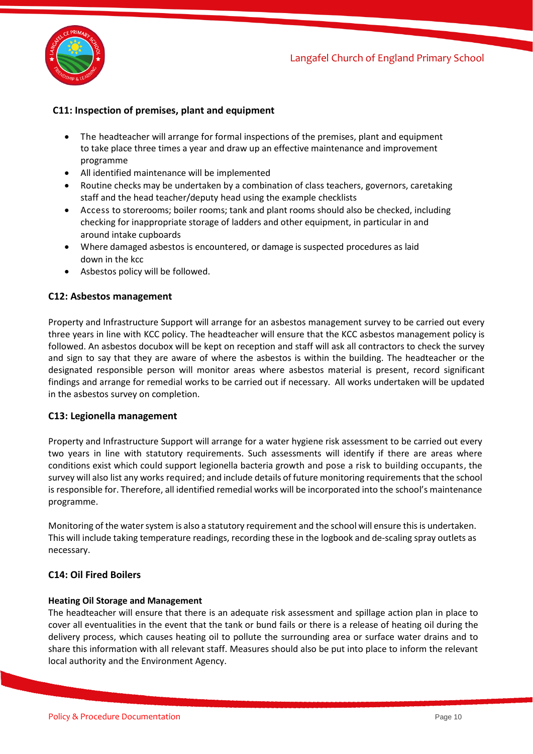

# **C11: Inspection of premises, plant and equipment**

- The headteacher will arrange for formal inspections of the premises, plant and equipment to take place three times a year and draw up an effective maintenance and improvement programme
- All identified maintenance will be implemented
- Routine checks may be undertaken by a combination of class teachers, governors, caretaking staff and the head teacher/deputy head using the example checklists
- Access to storerooms; boiler rooms; tank and plant rooms should also be checked, including checking for inappropriate storage of ladders and other equipment, in particular in and around intake cupboards
- Where damaged asbestos is encountered, or damage is suspected procedures as laid down in the kcc
- Asbestos policy will be followed.

## **C12: Asbestos management**

Property and Infrastructure Support will arrange for an asbestos management survey to be carried out every three years in line with KCC policy. The headteacher will ensure that the KCC asbestos management policy is followed. An asbestos docubox will be kept on reception and staff will ask all contractors to check the survey and sign to say that they are aware of where the asbestos is within the building. The headteacher or the designated responsible person will monitor areas where asbestos material is present, record significant findings and arrange for remedial works to be carried out if necessary. All works undertaken will be updated in the asbestos survey on completion.

#### **C13: Legionella management**

Property and Infrastructure Support will arrange for a water hygiene risk assessment to be carried out every two years in line with statutory requirements. Such assessments will identify if there are areas where conditions exist which could support legionella bacteria growth and pose a risk to building occupants, the survey will also list any works required; and include details of future monitoring requirements that the school is responsible for. Therefore, all identified remedial works will be incorporated into the school's maintenance programme.

Monitoring of the watersystem is also a statutory requirement and the school will ensure this is undertaken. This will include taking temperature readings, recording these in the logbook and de-scaling spray outlets as necessary.

## **C14: Oil Fired Boilers**

#### **Heating Oil Storage and Management**

The headteacher will ensure that there is an adequate risk assessment and spillage action plan in place to cover all eventualities in the event that the tank or bund fails or there is a release of heating oil during the delivery process, which causes heating oil to pollute the surrounding area or surface water drains and to share this information with all relevant staff. Measures should also be put into place to inform the relevant local authority and the Environment Agency.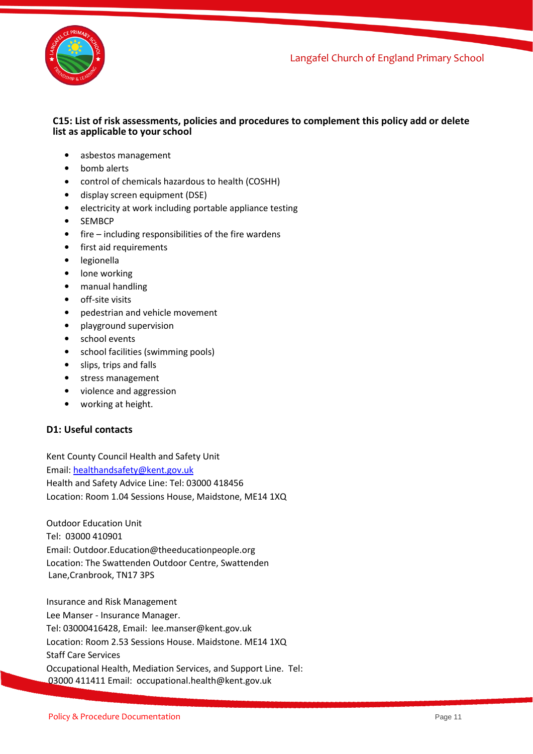j Langafel Church of England Primary School



## **C15: List of risk assessments, policies and procedures to complement this policy add or delete list as applicable to your school**

- asbestos management
- bomb alerts
- control of chemicals hazardous to health (COSHH)
- display screen equipment (DSE)
- electricity at work including portable appliance testing
- SEMBCP
- fire including responsibilities of the fire wardens
- first aid requirements
- legionella
- lone working
- manual handling
- off-site visits
- pedestrian and vehicle movement
- playground supervision
- school events
- school facilities (swimming pools)
- slips, trips and falls
- stress management
- violence and aggression
- working at height.

# **D1: Useful contacts**

Kent County Council Health and Safety Unit Email: [healthandsafety@kent.gov.uk](mailto:healthandsafety@kent.gov.uk) Health and Safety Advice Line: Tel: 03000 418456 Location: Room 1.04 Sessions House, Maidstone, ME14 1XQ

Outdoor Education Unit Tel: 03000 410901 Email: Outdoor.Education@theeducationpeople.org Location: The Swattenden Outdoor Centre, Swattenden Lane,Cranbrook, TN17 3PS

Insurance and Risk Management Lee Manser - Insurance Manager. Tel: 03000416428, Email: lee.manser@kent.gov.uk Location: Room 2.53 Sessions House. Maidstone. ME14 1XQ Staff Care Services Occupational Health, Mediation Services, and Support Line. Tel: 03000 411411 Email: occupational.health@kent.gov.uk